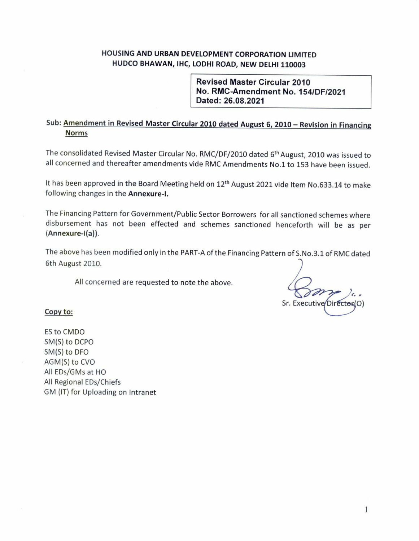### HOUSING AND URBAN DEVELOPMENT CORPORATION LIMITED HUDCO BHAWAN, IHC, LODHI ROAD, NEW DELHI 110003

**Revised Master Circular 2010** No. RMC-Amendment No. 154/DF/2021 Dated: 26.08.2021

# Sub: Amendment in Revised Master Circular 2010 dated August 6, 2010 - Revision in Financing **Norms**

The consolidated Revised Master Circular No. RMC/DF/2010 dated 6<sup>th</sup> August, 2010 was issued to all concerned and thereafter amendments vide RMC Amendments No.1 to 153 have been issued.

It has been approved in the Board Meeting held on 12<sup>th</sup> August 2021 vide Item No.633.14 to make following changes in the Annexure-I.

The Financing Pattern for Government/Public Sector Borrowers for all sanctioned schemes where disbursement has not been effected and schemes sanctioned henceforth will be as per (Annexure-I(a)).

The above has been modified only in the PART-A of the Financing Pattern of S.No.3.1 of RMC dated 6th August 2010.

All concerned are requested to note the above.

Sr. Executive Director (O)

### Copy to:

ES to CMDO SM(S) to DCPO SM(S) to DFO AGM(S) to CVO All EDs/GMs at HO All Regional EDs/Chiefs GM (IT) for Uploading on Intranet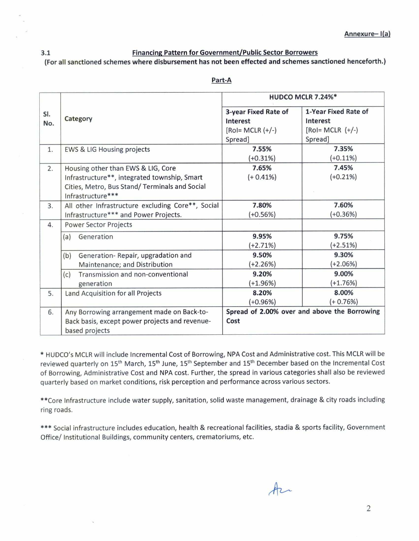### **Financing Pattern for Government/Public Sector Borrowers** (For all sanctioned schemes where disbursement has not been effected and schemes sanctioned henceforth.)

 $3.1$ 

|            |                                                                                                                                                          | HUDCO MCLR 7.24%*                                                   |                                                                    |  |
|------------|----------------------------------------------------------------------------------------------------------------------------------------------------------|---------------------------------------------------------------------|--------------------------------------------------------------------|--|
| SI.<br>No. | Category                                                                                                                                                 | 3-year Fixed Rate of<br>Interest<br>$[RoI = MCLR (+/-)]$<br>Spread] | 1-Year Fixed Rate of<br>Interest<br>$[Ro = MCLR (+/-)]$<br>Spread] |  |
| 1.         | <b>EWS &amp; LIG Housing projects</b>                                                                                                                    | 7.55%<br>$(+0.31%)$                                                 | 7.35%<br>$(+0.11%)$                                                |  |
| 2.         | Housing other than EWS & LIG, Core<br>Infrastructure**, integrated township, Smart<br>Cities, Metro, Bus Stand/Terminals and Social<br>Infrastructure*** | 7.65%<br>$(+ 0.41\%)$                                               | 7.45%<br>$(+0.21%)$                                                |  |
| 3.         | All other Infrastructure excluding Core**, Social<br>Infrastructure*** and Power Projects.                                                               | 7.80%<br>$(+0.56%)$                                                 | 7.60%<br>$(+0.36%)$                                                |  |
| 4.         | Power Sector Projects                                                                                                                                    |                                                                     |                                                                    |  |
|            | Generation<br>(a)                                                                                                                                        | 9.95%<br>(+2.71%)                                                   | 9.75%<br>$(+2.51%)$                                                |  |
|            | Generation-Repair, upgradation and<br>(b)<br>Maintenance; and Distribution                                                                               | 9.50%<br>$(+2.26%)$                                                 | 9.30%<br>$(+2.06%)$                                                |  |
|            | Transmission and non-conventional<br>(c)<br>generation                                                                                                   | 9.20%<br>$(+1.96%)$                                                 | 9.00%<br>$(+1.76%)$                                                |  |
| 5.         | Land Acquisition for all Projects                                                                                                                        | 8.20%<br>$(+0.96%)$                                                 | 8.00%<br>$(+ 0.76%)$                                               |  |
| 6.         | Any Borrowing arrangement made on Back-to-<br>Back basis, except power projects and revenue-<br>based projects                                           | Cost                                                                | Spread of 2.00% over and above the Borrowing                       |  |

#### Part-A

\* HUDCO's MCLR will include Incremental Cost of Borrowing, NPA Cost and Administrative cost. This MCLR will be reviewed quarterly on 15<sup>th</sup> March, 15<sup>th</sup> June, 15<sup>th</sup> September and 15<sup>th</sup> December based on the Incremental Cost of Borrowing, Administrative Cost and NPA cost. Further, the spread in various categories shall also be reviewed quarterly based on market conditions, risk perception and performance across various sectors.

\*\* Core Infrastructure include water supply, sanitation, solid waste management, drainage & city roads including ring roads.

\*\*\* Social infrastructure includes education, health & recreational facilities, stadia & sports facility, Government Office/ Institutional Buildings, community centers, crematoriums, etc.

Az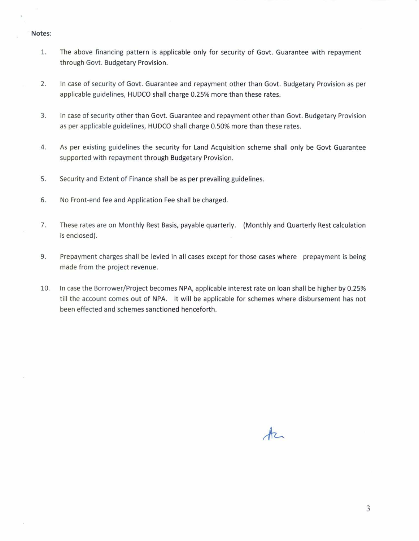#### Notes:

- The above financing pattern is applicable only for security of Govt. Guarantee with repayment 1. through Govt. Budgetary Provision.
- $2.$ In case of security of Govt. Guarantee and repayment other than Govt. Budgetary Provision as per applicable guidelines, HUDCO shall charge 0.25% more than these rates.
- $3.$ In case of security other than Govt. Guarantee and repayment other than Govt. Budgetary Provision as per applicable guidelines, HUDCO shall charge 0.50% more than these rates.
- 4. As per existing guidelines the security for Land Acquisition scheme shall only be Govt Guarantee supported with repayment through Budgetary Provision.
- 5. Security and Extent of Finance shall be as per prevailing guidelines.
- 6. No Front-end fee and Application Fee shall be charged.
- 7. These rates are on Monthly Rest Basis, payable quarterly. (Monthly and Quarterly Rest calculation is enclosed).
- 9. Prepayment charges shall be levied in all cases except for those cases where prepayment is being made from the project revenue.
- In case the Borrower/Project becomes NPA, applicable interest rate on loan shall be higher by 0.25% 10. till the account comes out of NPA. It will be applicable for schemes where disbursement has not been effected and schemes sanctioned henceforth.

 $A$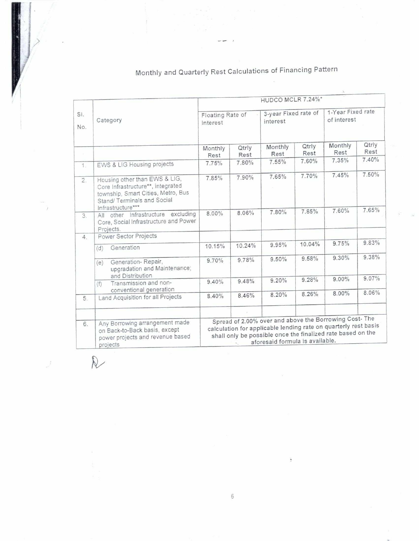|                |                                                                                                                                                              |                              |               |                                                                                                                                                                                                                            |               | Ä.                               |               |
|----------------|--------------------------------------------------------------------------------------------------------------------------------------------------------------|------------------------------|---------------|----------------------------------------------------------------------------------------------------------------------------------------------------------------------------------------------------------------------------|---------------|----------------------------------|---------------|
|                |                                                                                                                                                              |                              |               | HUDCO MCLR 7.24%*                                                                                                                                                                                                          |               |                                  |               |
| SI.<br>No.     | Category                                                                                                                                                     | Floating Rate of<br>Interest |               | 3-year Fixed rate of<br>interest                                                                                                                                                                                           |               | 1-Year Fixed rate<br>of interest |               |
| $\sim$         |                                                                                                                                                              | Monthly<br>Rest              | Qtrly<br>Rest | Monthly<br>Rest                                                                                                                                                                                                            | Qtrly<br>Rest | Monthly<br>Rest                  | Qtrly<br>Rest |
| 1 <sub>1</sub> | EWS & LIG Housing projects                                                                                                                                   | 7.75%                        | 7.80%         | 7.55%                                                                                                                                                                                                                      | 7.60%         | 7.35%                            | 7.40%         |
| 2.             | Housing other than EWS & LIG,<br>Core Infrastructure**, integrated<br>township, Smart Cities, Metro, Bus<br>Stand/ Terminals and Social<br>Infrastructure*** | 7.85%                        | 7.90%         | 7.65%                                                                                                                                                                                                                      | 7.70%         | 7.45%                            | 7.50%         |
| 3.             | All other Infrastructure excluding<br>Core, Social Infrastructure and Power<br>Projects.                                                                     | 8.00%                        | 8.06%         | 7.80%                                                                                                                                                                                                                      | 7.85%         | 7.60%                            | 7.65%         |
| 4.             | Power Sector Projects                                                                                                                                        |                              |               |                                                                                                                                                                                                                            |               |                                  |               |
|                | Generation<br>(d)                                                                                                                                            | 10.15%                       | 10.24%        | 9.95%                                                                                                                                                                                                                      | 10.04%        | 9.75%                            | 9.83%         |
|                | Generation-Repair,<br>(e)<br>upgradation and Maintenance;<br>and Distribution                                                                                | 9.70%                        | 9.78%         | 9.50%                                                                                                                                                                                                                      | 9.58%         | 9.30%                            | 9.38%         |
|                | Transmission and non-<br>(f)<br>conventional generation                                                                                                      | 9.40%                        | 9.48%         | 9.20%                                                                                                                                                                                                                      | 9.28%         | 9.00%                            | 9.07%         |
| 5.             | Land Acquisition for all Projects                                                                                                                            | 8.40%                        | 8.46%         | 8.20%                                                                                                                                                                                                                      | 8.26%         | 8.00%                            | 8.06%         |
|                |                                                                                                                                                              |                              |               |                                                                                                                                                                                                                            |               |                                  |               |
| 6.             | Any Borrowing arrangement made<br>on Back-to-Back basis, except<br>power projects and revenue based<br>projects                                              |                              |               | Spread of 2.00% over and above the Borrowing Cost-The<br>calculation for applicable lending rate on quarterly rest basis<br>shall only be possible once the finalized rate based on the<br>aforesaid formula is available. |               |                                  |               |

 $R$ 

# Monthly and Quarterly Rest Calculations of Financing Pattern

÷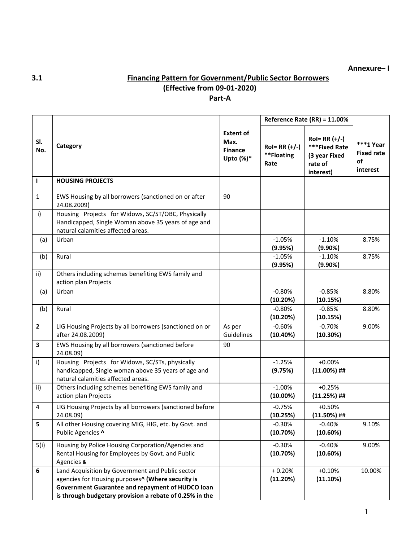### **Annexure– I**

# **3.1 Financing Pattern for Government/Public Sector Borrowers (Effective from 09-01-2020) Part-A**

|                  |                                                                                                                                                                                                                                  |                                                             |                                        | Reference Rate (RR) = 11.00%                                               |                                                    |  |
|------------------|----------------------------------------------------------------------------------------------------------------------------------------------------------------------------------------------------------------------------------|-------------------------------------------------------------|----------------------------------------|----------------------------------------------------------------------------|----------------------------------------------------|--|
| SI.<br>No.       | Category                                                                                                                                                                                                                         | <b>Extent of</b><br>Max.<br><b>Finance</b><br>Upto $(\%)^*$ | $Rol = RR (+/-)$<br>**Floating<br>Rate | $Rol = RR (+/-)$<br>***Fixed Rate<br>(3 year Fixed<br>rate of<br>interest) | $***1$ Year<br><b>Fixed rate</b><br>of<br>interest |  |
| $\mathbf{I}$     | <b>HOUSING PROJECTS</b>                                                                                                                                                                                                          |                                                             |                                        |                                                                            |                                                    |  |
| $\mathbf{1}$     | EWS Housing by all borrowers (sanctioned on or after<br>24.08.2009)                                                                                                                                                              | 90                                                          |                                        |                                                                            |                                                    |  |
| i)               | Housing Projects for Widows, SC/ST/OBC, Physically<br>Handicapped, Single Woman above 35 years of age and<br>natural calamities affected areas.                                                                                  |                                                             |                                        |                                                                            |                                                    |  |
| (a)              | Urban                                                                                                                                                                                                                            |                                                             | $-1.05%$<br>(9.95%)                    | $-1.10%$<br>(9.90%)                                                        | 8.75%                                              |  |
| (b)              | Rural                                                                                                                                                                                                                            |                                                             | $-1.05%$<br>(9.95%)                    | $-1.10%$<br>(9.90%)                                                        | 8.75%                                              |  |
| ii)              | Others including schemes benefiting EWS family and<br>action plan Projects                                                                                                                                                       |                                                             |                                        |                                                                            |                                                    |  |
| (a)              | Urban                                                                                                                                                                                                                            |                                                             | $-0.80%$<br>(10.20%)                   | $-0.85%$<br>(10.15%)                                                       | 8.80%                                              |  |
| (b)              | Rural                                                                                                                                                                                                                            |                                                             | $-0.80%$<br>(10.20%)                   | $-0.85%$<br>(10.15%)                                                       | 8.80%                                              |  |
| $\overline{2}$   | LIG Housing Projects by all borrowers (sanctioned on or<br>after 24.08.2009)                                                                                                                                                     | As per<br><b>Guidelines</b>                                 | $-0.60%$<br>(10.40%)                   | $-0.70%$<br>(10.30%)                                                       | 9.00%                                              |  |
| 3                | EWS Housing by all borrowers (sanctioned before<br>24.08.09)                                                                                                                                                                     | 90                                                          |                                        |                                                                            |                                                    |  |
| i)               | Housing Projects for Widows, SC/STs, physically<br>handicapped, Single woman above 35 years of age and<br>natural calamities affected areas.                                                                                     |                                                             | $-1.25%$<br>(9.75%)                    | $+0.00%$<br>$(11.00\%)$ ##                                                 |                                                    |  |
| ii)              | Others including schemes benefiting EWS family and<br>action plan Projects                                                                                                                                                       |                                                             | $-1.00%$<br>$(10.00\%)$                | $+0.25%$<br>$(11.25%)$ ##                                                  |                                                    |  |
| $\overline{4}$   | LIG Housing Projects by all borrowers (sanctioned before<br>24.08.09)                                                                                                                                                            |                                                             | $-0.75%$<br>(10.25%)                   | $+0.50%$<br>$(11.50\%)$ ##                                                 |                                                    |  |
| 5                | All other Housing covering MIG, HIG, etc. by Govt. and<br>Public Agencies ^                                                                                                                                                      |                                                             | $-0.30%$<br>(10.70%)                   | $-0.40%$<br>(10.60%)                                                       | 9.10%                                              |  |
| 5(i)             | Housing by Police Housing Corporation/Agencies and<br>Rental Housing for Employees by Govt. and Public<br>Agencies &                                                                                                             |                                                             | $-0.30%$<br>(10.70%)                   | $-0.40%$<br>(10.60%)                                                       | 9.00%                                              |  |
| $\boldsymbol{6}$ | Land Acquisition by Government and Public sector<br>agencies for Housing purposes <sup>^</sup> (Where security is<br>Government Guarantee and repayment of HUDCO loan<br>is through budgetary provision a rebate of 0.25% in the |                                                             | $+0.20%$<br>(11.20%)                   | $+0.10%$<br>(11.10%)                                                       | 10.00%                                             |  |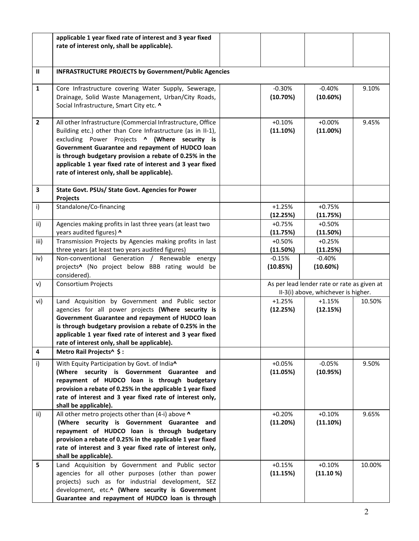|              | applicable 1 year fixed rate of interest and 3 year fixed<br>rate of interest only, shall be applicable).                                                                                                                                                                                                                                                                                               |                      |                                                                                    |        |  |
|--------------|---------------------------------------------------------------------------------------------------------------------------------------------------------------------------------------------------------------------------------------------------------------------------------------------------------------------------------------------------------------------------------------------------------|----------------------|------------------------------------------------------------------------------------|--------|--|
| $\mathbf{I}$ | <b>INFRASTRUCTURE PROJECTS by Government/Public Agencies</b>                                                                                                                                                                                                                                                                                                                                            |                      |                                                                                    |        |  |
| $\mathbf{1}$ | Core Infrastructure covering Water Supply, Sewerage,<br>Drainage, Solid Waste Management, Urban/City Roads,<br>Social Infrastructure, Smart City etc. ^                                                                                                                                                                                                                                                 | $-0.30%$<br>(10.70%) | $-0.40%$<br>(10.60%)                                                               | 9.10%  |  |
| $\mathbf{2}$ | All other Infrastructure (Commercial Infrastructure, Office<br>Building etc.) other than Core Infrastructure (as in II-1),<br>excluding Power Projects ^ (Where security is<br>Government Guarantee and repayment of HUDCO loan<br>is through budgetary provision a rebate of 0.25% in the<br>applicable 1 year fixed rate of interest and 3 year fixed<br>rate of interest only, shall be applicable). | $+0.10%$<br>(11.10%) | $+0.00%$<br>(11.00%)                                                               | 9.45%  |  |
| 3            | State Govt. PSUs/ State Govt. Agencies for Power<br><b>Projects</b>                                                                                                                                                                                                                                                                                                                                     |                      |                                                                                    |        |  |
| i)           | Standalone/Co-financing                                                                                                                                                                                                                                                                                                                                                                                 | $+1.25%$<br>(12.25%) | $+0.75%$<br>(11.75%)                                                               |        |  |
| ii)          | Agencies making profits in last three years (at least two<br>years audited figures) ^                                                                                                                                                                                                                                                                                                                   | $+0.75%$<br>(11.75%) | $+0.50%$<br>(11.50%)                                                               |        |  |
| iii)         | Transmission Projects by Agencies making profits in last<br>three years (at least two years audited figures)                                                                                                                                                                                                                                                                                            | $+0.50%$<br>(11.50%) | $+0.25%$<br>(11.25%)                                                               |        |  |
| iv)          | Non-conventional Generation / Renewable energy<br>projects^ (No project below BBB rating would be<br>considered).                                                                                                                                                                                                                                                                                       | $-0.15%$<br>(10.85%) | $-0.40%$<br>(10.60%)                                                               |        |  |
| v)           | <b>Consortium Projects</b>                                                                                                                                                                                                                                                                                                                                                                              |                      | As per lead lender rate or rate as given at<br>II-3(i) above, whichever is higher. |        |  |
| vi)          | Land Acquisition by Government and Public sector<br>agencies for all power projects (Where security is<br>Government Guarantee and repayment of HUDCO loan<br>is through budgetary provision a rebate of 0.25% in the<br>applicable 1 year fixed rate of interest and 3 year fixed<br>rate of interest only, shall be applicable).                                                                      | $+1.25%$<br>(12.25%) | $+1.15%$<br>(12.15%)                                                               | 10.50% |  |
| 4<br>i)      | Metro Rail Projects^ \$:<br>With Equity Participation by Govt. of India^                                                                                                                                                                                                                                                                                                                                | $+0.05%$             | $-0.05%$                                                                           | 9.50%  |  |
|              | (Where security is Government Guarantee and<br>repayment of HUDCO loan is through budgetary<br>provision a rebate of 0.25% in the applicable 1 year fixed<br>rate of interest and 3 year fixed rate of interest only,<br>shall be applicable).                                                                                                                                                          | (11.05%)             | (10.95%)                                                                           |        |  |
| ii)          | All other metro projects other than (4-i) above ^<br>(Where security is Government Guarantee and<br>repayment of HUDCO loan is through budgetary<br>provision a rebate of 0.25% in the applicable 1 year fixed<br>rate of interest and 3 year fixed rate of interest only,<br>shall be applicable).                                                                                                     | $+0.20%$<br>(11.20%) | $+0.10%$<br>(11.10%)                                                               | 9.65%  |  |
| 5            | Land Acquisition by Government and Public sector<br>agencies for all other purposes (other than power<br>projects) such as for industrial development, SEZ<br>development, etc.^ (Where security is Government<br>Guarantee and repayment of HUDCO loan is through                                                                                                                                      | $+0.15%$<br>(11.15%) | $+0.10%$<br>(11.10%)                                                               | 10.00% |  |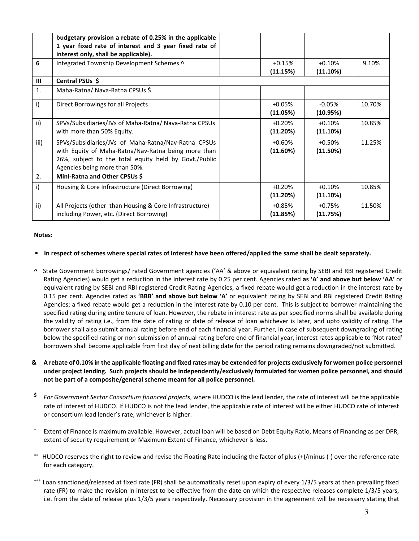|              | budgetary provision a rebate of 0.25% in the applicable<br>1 year fixed rate of interest and 3 year fixed rate of<br>interest only, shall be applicable).                                            |                      |                      |        |
|--------------|------------------------------------------------------------------------------------------------------------------------------------------------------------------------------------------------------|----------------------|----------------------|--------|
| 6            | Integrated Township Development Schemes ^                                                                                                                                                            | $+0.15%$<br>(11.15%) | $+0.10%$<br>(11.10%) | 9.10%  |
| $\mathbf{m}$ | Central PSUs \$                                                                                                                                                                                      |                      |                      |        |
| 1.           | Maha-Ratna/ Nava-Ratna CPSUs \$                                                                                                                                                                      |                      |                      |        |
| i)           | Direct Borrowings for all Projects                                                                                                                                                                   | $+0.05%$<br>(11.05%) | $-0.05%$<br>(10.95%) | 10.70% |
| ii)          | SPVs/Subsidiaries/JVs of Maha-Ratna/ Nava-Ratna CPSUs<br>with more than 50% Equity.                                                                                                                  | $+0.20%$<br>(11.20%) | $+0.10%$<br>(11.10%) | 10.85% |
| iii)         | SPVs/Subsidiaries/JVs of Maha-Ratna/Nav-Ratna CPSUs<br>with Equity of Maha-Ratna/Nav-Ratna being more than<br>26%, subject to the total equity held by Govt./Public<br>Agencies being more than 50%. | $+0.60%$<br>(11.60%) | $+0.50%$<br>(11.50%) | 11.25% |
| 2.           | Mini-Ratna and Other CPSUs \$                                                                                                                                                                        |                      |                      |        |
| i)           | Housing & Core Infrastructure (Direct Borrowing)                                                                                                                                                     | $+0.20%$<br>(11.20%) | $+0.10%$<br>(11.10%) | 10.85% |
| ii)          | All Projects (other than Housing & Core Infrastructure)<br>including Power, etc. (Direct Borrowing)                                                                                                  | $+0.85%$<br>(11.85%) | $+0.75%$<br>(11.75%) | 11.50% |

#### **Notes:**

#### • **In respect of schemes where special rates of interest have been offered/applied the same shall be dealt separately.**

- **^** State Government borrowings/ rated Government agencies ('AA' & above or equivalent rating by SEBI and RBI registered Credit Rating Agencies) would get a reduction in the interest rate by 0.25 per cent. Agencies rated **as 'A' and above but below 'AA'** or equivalent rating by SEBI and RBI registered Credit Rating Agencies, a fixed rebate would get a reduction in the interest rate by 0.15 per cent. **A**gencies rated as **'BBB' and above but below 'A'** or equivalent rating by SEBI and RBI registered Credit Rating Agencies; a fixed rebate would get a reduction in the interest rate by 0.10 per cent. This is subject to borrower maintaining the specified rating during entire tenure of loan. However, the rebate in interest rate as per specified norms shall be available during the validity of rating i.e., from the date of rating or date of release of loan whichever is later, and upto validity of rating. The borrower shall also submit annual rating before end of each financial year. Further, in case of subsequent downgrading of rating below the specified rating or non-submission of annual rating before end of financial year, interest rates applicable to 'Not rated' borrowers shall become applicable from first day of next billing date for the period rating remains downgraded/not submitted.
- **& A rebate of 0.10% in the applicable floating and fixed rates may be extended for projects exclusively for women police personnel under project lending. Such projects should be independently/exclusively formulated for women police personnel, and should not be part of a composite/general scheme meant for all police personnel.**
- **\$** *For Government Sector Consortium financed projects*, where HUDCO is the lead lender, the rate of interest will be the applicable rate of interest of HUDCO. If HUDCO is not the lead lender, the applicable rate of interest will be either HUDCO rate of interest or consortium lead lender's rate, whichever is higher.
- ∗ Extent of Finance is maximum available. However, actual loan will be based on Debt Equity Ratio, Means of Financing as per DPR, extent of security requirement or Maximum Extent of Finance, whichever is less.
- ∗∗ HUDCO reserves the right to review and revise the Floating Rate including the factor of plus (+)/minus (-) over the reference rate for each category.
- Loan sanctioned/released at fixed rate (FR) shall be automatically reset upon expiry of every 1/3/5 years at then prevailing fixed rate (FR) to make the revision in interest to be effective from the date on which the respective releases complete 1/3/5 years, i.e. from the date of release plus 1/3/5 years respectively. Necessary provision in the agreement will be necessary stating that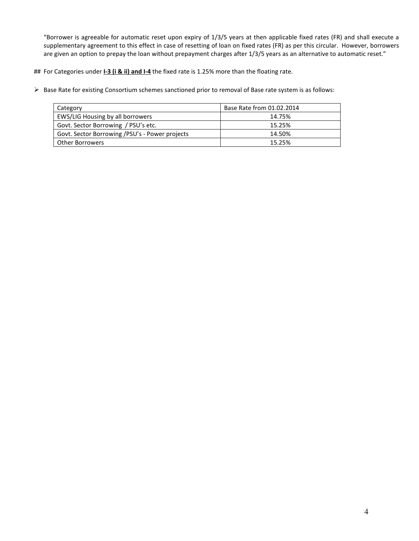"Borrower is agreeable for automatic reset upon expiry of 1/3/5 years at then applicable fixed rates (FR) and shall execute a supplementary agreement to this effect in case of resetting of loan on fixed rates (FR) as per this circular. However, borrowers are given an option to prepay the loan without prepayment charges after 1/3/5 years as an alternative to automatic reset."

## For Categories under **I-3 (i & ii) and I-4** the fixed rate is 1.25% more than the floating rate.

Base Rate for existing Consortium schemes sanctioned prior to removal of Base rate system is as follows:

| Category                                       | Base Rate from 01.02.2014 |
|------------------------------------------------|---------------------------|
| EWS/LIG Housing by all borrowers               | 14.75%                    |
| Govt. Sector Borrowing / PSU's etc.            | 15.25%                    |
| Govt. Sector Borrowing /PSU's - Power projects | 14.50%                    |
| Other Borrowers                                | 15.25%                    |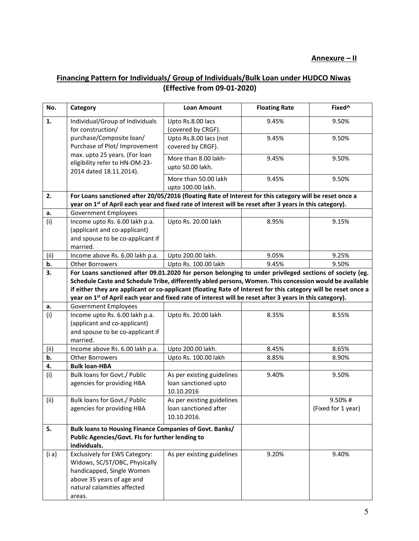# **Financing Pattern for Individuals/ Group of Individuals/Bulk Loan under HUDCO Niwas (Effective from 09-01-2020)**

| No.   | Category                                                                                                                                                                                                                                                                                                                                                                                                                                                     | <b>Loan Amount</b>                                                 | <b>Floating Rate</b> | Fixed <sup>^</sup>           |
|-------|--------------------------------------------------------------------------------------------------------------------------------------------------------------------------------------------------------------------------------------------------------------------------------------------------------------------------------------------------------------------------------------------------------------------------------------------------------------|--------------------------------------------------------------------|----------------------|------------------------------|
| 1.    | Individual/Group of Individuals<br>for construction/                                                                                                                                                                                                                                                                                                                                                                                                         | Upto Rs.8.00 lacs<br>(covered by CRGF).                            | 9.45%                | 9.50%                        |
|       | purchase/Composite loan/<br>Purchase of Plot/ Improvement                                                                                                                                                                                                                                                                                                                                                                                                    | Upto Rs.8.00 lacs (not<br>covered by CRGF).                        | 9.45%                | 9.50%                        |
|       | max. upto 25 years. (For loan<br>eligibility refer to HN-OM-23-<br>2014 dated 18.11.2014).                                                                                                                                                                                                                                                                                                                                                                   | More than 8.00 lakh-<br>upto 50.00 lakh.                           | 9.45%                | 9.50%                        |
|       |                                                                                                                                                                                                                                                                                                                                                                                                                                                              | More than 50.00 lakh<br>upto 100.00 lakh.                          | 9.45%                | 9.50%                        |
| 2.    | For Loans sanctioned after 20/05/2016 (floating Rate of Interest for this category will be reset once a<br>year on 1 <sup>st</sup> of April each year and fixed rate of interest will be reset after 3 years in this category).                                                                                                                                                                                                                              |                                                                    |                      |                              |
| a.    | <b>Government Employees</b>                                                                                                                                                                                                                                                                                                                                                                                                                                  |                                                                    |                      |                              |
| (i)   | Income upto Rs. 6.00 lakh p.a.<br>(applicant and co-applicant)<br>and spouse to be co-applicant if<br>married.                                                                                                                                                                                                                                                                                                                                               | Upto Rs. 20.00 lakh                                                | 8.95%                | 9.15%                        |
| (ii)  | Income above Rs. 6.00 lakh p.a.                                                                                                                                                                                                                                                                                                                                                                                                                              | Upto 200.00 lakh.                                                  | 9.05%                | 9.25%                        |
| b.    | <b>Other Borrowers</b>                                                                                                                                                                                                                                                                                                                                                                                                                                       | Upto Rs. 100.00 lakh                                               | 9.45%                | 9.50%                        |
| 3.    | For Loans sanctioned after 09.01.2020 for person belonging to under privileged sections of society (eg.<br>Schedule Caste and Schedule Tribe, differently abled persons, Women. This concession would be available<br>if either they are applicant or co-applicant (floating Rate of Interest for this category will be reset once a<br>year on 1 <sup>st</sup> of April each year and fixed rate of interest will be reset after 3 years in this category). |                                                                    |                      |                              |
| a.    | <b>Government Employees</b>                                                                                                                                                                                                                                                                                                                                                                                                                                  |                                                                    |                      |                              |
| (i)   | Income upto Rs. 6.00 lakh p.a.<br>(applicant and co-applicant)<br>and spouse to be co-applicant if<br>married.                                                                                                                                                                                                                                                                                                                                               | Upto Rs. 20.00 lakh                                                | 8.35%                | 8.55%                        |
| (ii)  | Income above Rs. 6.00 lakh p.a.                                                                                                                                                                                                                                                                                                                                                                                                                              | Upto 200.00 lakh.                                                  | 8.45%                | 8.65%                        |
| b.    | <b>Other Borrowers</b>                                                                                                                                                                                                                                                                                                                                                                                                                                       | Upto Rs. 100.00 lakh                                               | 8.85%                | 8.90%                        |
| 4.    | <b>Bulk loan-HBA</b>                                                                                                                                                                                                                                                                                                                                                                                                                                         |                                                                    |                      |                              |
| (i)   | Bulk loans for Govt./ Public<br>agencies for providing HBA                                                                                                                                                                                                                                                                                                                                                                                                   | As per existing guidelines<br>loan sanctioned upto<br>10.10.2016   | 9.40%                | 9.50%                        |
| (ii)  | Bulk loans for Govt./ Public<br>agencies for providing HBA                                                                                                                                                                                                                                                                                                                                                                                                   | As per existing guidelines<br>loan sanctioned after<br>10.10.2016. |                      | 9.50%#<br>(Fixed for 1 year) |
| 5.    | Bulk loans to Housing Finance Companies of Govt. Banks/<br>Public Agencies/Govt. FIs for further lending to<br>individuals.                                                                                                                                                                                                                                                                                                                                  |                                                                    |                      |                              |
| (i a) | Exclusively for EWS Category:<br>Widows, SC/ST/OBC, Physically<br>handicapped, Single Women<br>above 35 years of age and<br>natural calamities affected<br>areas.                                                                                                                                                                                                                                                                                            | As per existing guidelines                                         | 9.20%                | 9.40%                        |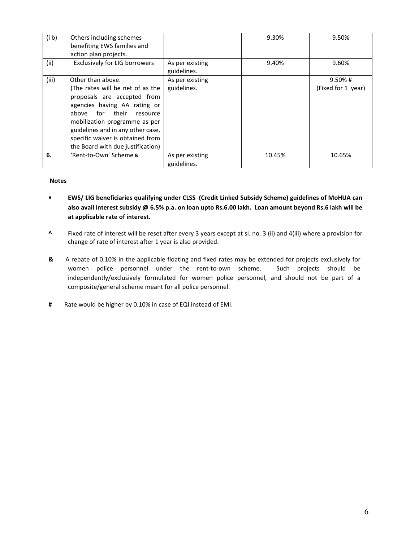| (i b) | Others including schemes<br>benefiting EWS families and<br>action plan projects.                                                                                                                                                                                                                      |                                | 9.30%  | 9.50%                            |
|-------|-------------------------------------------------------------------------------------------------------------------------------------------------------------------------------------------------------------------------------------------------------------------------------------------------------|--------------------------------|--------|----------------------------------|
| (ii)  | <b>Exclusively for LIG borrowers</b>                                                                                                                                                                                                                                                                  | As per existing<br>guidelines. | 9.40%  | 9.60%                            |
| (iii) | Other than above.<br>(The rates will be net of as the<br>proposals are accepted from<br>agencies having AA rating or<br>for their<br>above<br>resource<br>mobilization programme as per<br>guidelines and in any other case,<br>specific waiver is obtained from<br>the Board with due justification) | As per existing<br>guidelines. |        | $9.50\%$ #<br>(Fixed for 1 year) |
| 6.    | 'Rent-to-Own' Scheme &                                                                                                                                                                                                                                                                                | As per existing<br>guidelines. | 10.45% | 10.65%                           |

#### **Notes**

- **EWS/ LIG beneficiaries qualifying under CLSS (Credit Linked Subsidy Scheme) guidelines of MoHUA can also avail interest subsidy @ 6.5% p.a. on loan upto Rs.6.00 lakh. Loan amount beyond Rs.6 lakh will be at applicable rate of interest.**
- **^** Fixed rate of interest will be reset after every 3 years except at sl. no. 3 (ii) and 4(iii) where a provision for change of rate of interest after 1 year is also provided.
- **&** A rebate of 0.10% in the applicable floating and fixed rates may be extended for projects exclusively for women police personnel under the rent-to-own scheme. Such projects should be independently/exclusively formulated for women police personnel, and should not be part of a composite/general scheme meant for all police personnel.
- **#** Rate would be higher by 0.10% in case of EQI instead of EMI.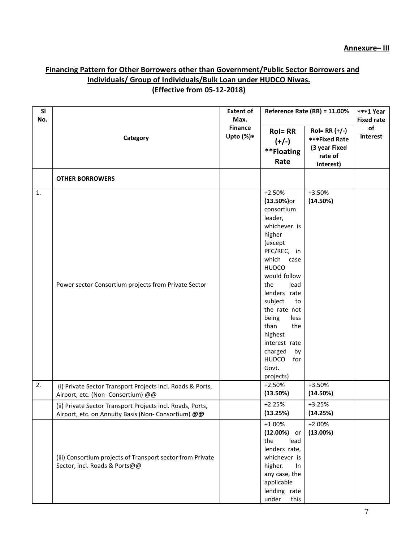# **Financing Pattern for Other Borrowers other than Government/Public Sector Borrowers and Individuals/ Group of Individuals/Bulk Loan under HUDCO Niwas. (Effective from 05-12-2018)**

| SI<br>No. |                                                                                                                   | <b>Extent of</b><br>Max.       | Reference Rate (RR) = 11.00%                                                                                                                                                                                                                                                                                                                   |                                                                                   | ***1 Year<br><b>Fixed rate</b> |
|-----------|-------------------------------------------------------------------------------------------------------------------|--------------------------------|------------------------------------------------------------------------------------------------------------------------------------------------------------------------------------------------------------------------------------------------------------------------------------------------------------------------------------------------|-----------------------------------------------------------------------------------|--------------------------------|
|           | Category                                                                                                          | <b>Finance</b><br>Upto $(\%)*$ | <b>Rol=RR</b><br>$(+/-)$<br>**Floating<br>Rate                                                                                                                                                                                                                                                                                                 | $Rol = RR (+/-)$<br><b>***Fixed Rate</b><br>(3 year Fixed<br>rate of<br>interest) | of<br>interest                 |
|           | <b>OTHER BORROWERS</b>                                                                                            |                                |                                                                                                                                                                                                                                                                                                                                                |                                                                                   |                                |
| 1.        | Power sector Consortium projects from Private Sector                                                              |                                | $+2.50%$<br>$(13.50%)$ or<br>consortium<br>leader,<br>whichever is<br>higher<br>(except<br>PFC/REC, in<br>which case<br><b>HUDCO</b><br>would follow<br>the<br>lead<br>lenders rate<br>subject<br>to<br>the rate not<br>being<br>less<br>than<br>the<br>highest<br>interest rate<br>charged<br>by<br><b>HUDCO</b><br>for<br>Govt.<br>projects) | $+3.50%$<br>(14.50%)                                                              |                                |
| 2.        | (i) Private Sector Transport Projects incl. Roads & Ports,<br>Airport, etc. (Non- Consortium) @@                  |                                | $+2.50%$<br>(13.50%)                                                                                                                                                                                                                                                                                                                           | +3.50%<br>(14.50%)                                                                |                                |
|           | (ii) Private Sector Transport Projects incl. Roads, Ports,<br>Airport, etc. on Annuity Basis (Non- Consortium) @@ |                                | $+2.25%$<br>(13.25%)                                                                                                                                                                                                                                                                                                                           | $+3.25%$<br>(14.25%)                                                              |                                |
|           | (iii) Consortium projects of Transport sector from Private<br>Sector, incl. Roads & Ports@@                       |                                | $+1.00%$<br>$(12.00%)$ or<br>the<br>lead<br>lenders rate,<br>whichever is<br>higher.<br>In<br>any case, the<br>applicable<br>lending rate<br>under<br>this                                                                                                                                                                                     | $+2.00%$<br>(13.00%)                                                              |                                |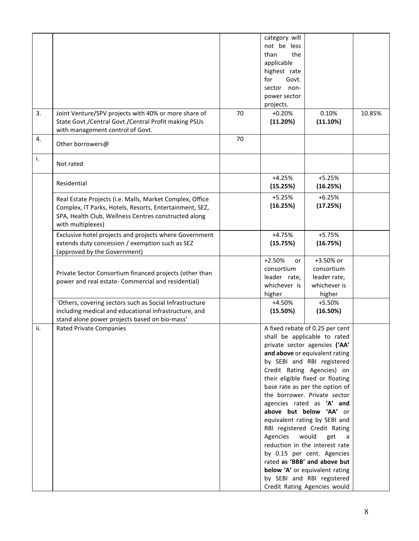|     |                                                          |    | category will  |                                  |        |
|-----|----------------------------------------------------------|----|----------------|----------------------------------|--------|
|     |                                                          |    | not be less    |                                  |        |
|     |                                                          |    | the<br>than    |                                  |        |
|     |                                                          |    | applicable     |                                  |        |
|     |                                                          |    |                |                                  |        |
|     |                                                          |    | highest rate   |                                  |        |
|     |                                                          |    | for<br>Govt.   |                                  |        |
|     |                                                          |    | sector non-    |                                  |        |
|     |                                                          |    | power sector   |                                  |        |
|     |                                                          |    | projects.      |                                  |        |
| 3.  | Joint Venture/SPV projects with 40% or more share of     | 70 | $+0.20%$       | 0.10%                            | 10.85% |
|     | State Govt./Central Govt./Central Profit making PSUs     |    | (11.20%)       | (11.10%)                         |        |
|     | with management control of Govt.                         |    |                |                                  |        |
| 4.  |                                                          | 70 |                |                                  |        |
|     | Other borrowers@                                         |    |                |                                  |        |
|     |                                                          |    |                |                                  |        |
| i.  | Not rated                                                |    |                |                                  |        |
|     |                                                          |    |                |                                  |        |
|     |                                                          |    | $+4.25%$       | $+5.25%$                         |        |
|     | Residential                                              |    | (15.25%)       | (16.25%)                         |        |
|     |                                                          |    |                |                                  |        |
|     | Real Estate Projects (i.e. Malls, Market Complex, Office |    | $+5.25%$       | $+6.25%$                         |        |
|     | Complex, IT Parks, Hotels, Resorts, Entertainment, SEZ,  |    | (16.25%)       | (17.25%)                         |        |
|     | SPA, Health Club, Wellness Centres constructed along     |    |                |                                  |        |
|     | with multiplexes)                                        |    |                |                                  |        |
|     | Exclusive hotel projects and projects where Government   |    | +4.75%         | $+5.75%$                         |        |
|     |                                                          |    |                |                                  |        |
|     | extends duty concession / exemption such as SEZ          |    | (15.75%)       | (16.75%)                         |        |
|     | (approved by the Government)                             |    |                |                                  |        |
|     |                                                          |    | $+2.50%$<br>or | +3.50% or                        |        |
|     | Private Sector Consortium financed projects (other than  |    | consortium     | consortium                       |        |
|     | power and real estate- Commercial and residential)       |    | leader rate,   | leader rate,                     |        |
|     |                                                          |    | whichever is   | whichever is                     |        |
|     |                                                          |    | higher         | higher                           |        |
|     | 'Others, covering sectors such as Social Infrastructure  |    | +4.50%         | +5.50%                           |        |
|     | including medical and educational infrastructure, and    |    | (15.50%)       | (16.50%)                         |        |
|     | stand alone power projects based on bio-mass'            |    |                |                                  |        |
| ii. | <b>Rated Private Companies</b>                           |    |                | A fixed rebate of 0.25 per cent  |        |
|     |                                                          |    |                | shall be applicable to rated     |        |
|     |                                                          |    |                | private sector agencies ('AA'    |        |
|     |                                                          |    |                |                                  |        |
|     |                                                          |    |                | and above or equivalent rating   |        |
|     |                                                          |    |                | by SEBI and RBI registered       |        |
|     |                                                          |    |                | Credit Rating Agencies) on       |        |
|     |                                                          |    |                | their eligible fixed or floating |        |
|     |                                                          |    |                | base rate as per the option of   |        |
|     |                                                          |    |                | the borrower. Private sector     |        |
|     |                                                          |    |                | agencies rated as 'A' and        |        |
|     |                                                          |    |                | above but below 'AA' or          |        |
|     |                                                          |    |                | equivalent rating by SEBI and    |        |
|     |                                                          |    |                | RBI registered Credit Rating     |        |
|     |                                                          |    | Agencies       | would<br>get<br>a                |        |
|     |                                                          |    |                | reduction in the interest rate   |        |
|     |                                                          |    |                | by 0.15 per cent. Agencies       |        |
|     |                                                          |    |                | rated as 'BBB' and above but     |        |
|     |                                                          |    |                | below 'A' or equivalent rating   |        |
|     |                                                          |    |                | by SEBI and RBI registered       |        |
|     |                                                          |    |                |                                  |        |
|     |                                                          |    |                | Credit Rating Agencies would     |        |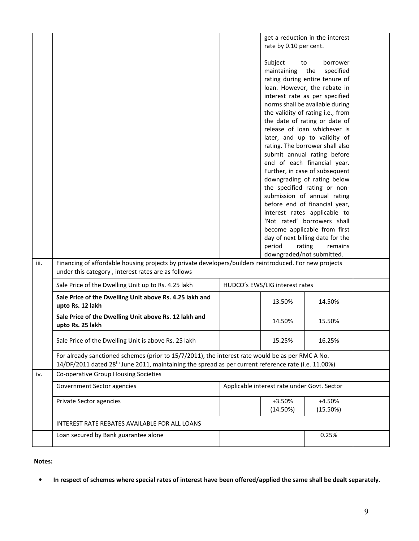|      |                                                                                                                                                                                                                     | rate by 0.10 per cent.                      | get a reduction in the interest   |  |
|------|---------------------------------------------------------------------------------------------------------------------------------------------------------------------------------------------------------------------|---------------------------------------------|-----------------------------------|--|
|      |                                                                                                                                                                                                                     | Subject<br>to                               | borrower                          |  |
|      |                                                                                                                                                                                                                     | maintaining                                 | the<br>specified                  |  |
|      |                                                                                                                                                                                                                     |                                             | rating during entire tenure of    |  |
|      |                                                                                                                                                                                                                     |                                             | loan. However, the rebate in      |  |
|      |                                                                                                                                                                                                                     |                                             | interest rate as per specified    |  |
|      |                                                                                                                                                                                                                     |                                             |                                   |  |
|      |                                                                                                                                                                                                                     |                                             | norms shall be available during   |  |
|      |                                                                                                                                                                                                                     |                                             | the validity of rating i.e., from |  |
|      |                                                                                                                                                                                                                     |                                             | the date of rating or date of     |  |
|      |                                                                                                                                                                                                                     |                                             | release of loan whichever is      |  |
|      |                                                                                                                                                                                                                     |                                             | later, and up to validity of      |  |
|      |                                                                                                                                                                                                                     |                                             | rating. The borrower shall also   |  |
|      |                                                                                                                                                                                                                     |                                             | submit annual rating before       |  |
|      |                                                                                                                                                                                                                     |                                             | end of each financial year.       |  |
|      |                                                                                                                                                                                                                     |                                             | Further, in case of subsequent    |  |
|      |                                                                                                                                                                                                                     |                                             | downgrading of rating below       |  |
|      |                                                                                                                                                                                                                     |                                             | the specified rating or non-      |  |
|      |                                                                                                                                                                                                                     |                                             | submission of annual rating       |  |
|      |                                                                                                                                                                                                                     |                                             | before end of financial year,     |  |
|      |                                                                                                                                                                                                                     |                                             | interest rates applicable to      |  |
|      |                                                                                                                                                                                                                     |                                             | 'Not rated' borrowers shall       |  |
|      |                                                                                                                                                                                                                     |                                             | become applicable from first      |  |
|      |                                                                                                                                                                                                                     |                                             | day of next billing date for the  |  |
|      |                                                                                                                                                                                                                     | period                                      | rating<br>remains                 |  |
|      |                                                                                                                                                                                                                     | downgraded/not submitted.                   |                                   |  |
| iii. | Financing of affordable housing projects by private developers/builders reintroduced. For new projects<br>under this category, interest rates are as follows                                                        |                                             |                                   |  |
|      | Sale Price of the Dwelling Unit up to Rs. 4.25 lakh                                                                                                                                                                 | HUDCO's EWS/LIG interest rates              |                                   |  |
|      | Sale Price of the Dwelling Unit above Rs. 4.25 lakh and<br>upto Rs. 12 lakh                                                                                                                                         | 13.50%                                      | 14.50%                            |  |
|      | Sale Price of the Dwelling Unit above Rs. 12 lakh and<br>upto Rs. 25 lakh                                                                                                                                           | 14.50%                                      | 15.50%                            |  |
|      | Sale Price of the Dwelling Unit is above Rs. 25 lakh                                                                                                                                                                | 15.25%                                      | 16.25%                            |  |
|      | For already sanctioned schemes (prior to 15/7/2011), the interest rate would be as per RMC A No.<br>14/DF/2011 dated 28 <sup>th</sup> June 2011, maintaining the spread as per current reference rate (i.e. 11.00%) |                                             |                                   |  |
| iv.  | Co-operative Group Housing Societies                                                                                                                                                                                |                                             |                                   |  |
|      | Government Sector agencies                                                                                                                                                                                          | Applicable interest rate under Govt. Sector |                                   |  |
|      | Private Sector agencies                                                                                                                                                                                             | +3.50%                                      | $+4.50%$                          |  |
|      |                                                                                                                                                                                                                     | (14.50%)                                    | (15.50%)                          |  |
|      | INTEREST RATE REBATES AVAILABLE FOR ALL LOANS                                                                                                                                                                       |                                             |                                   |  |
|      | Loan secured by Bank guarantee alone                                                                                                                                                                                |                                             | 0.25%                             |  |
|      |                                                                                                                                                                                                                     |                                             |                                   |  |

### **Notes:**

• **In respect of schemes where special rates of interest have been offered/applied the same shall be dealt separately.**